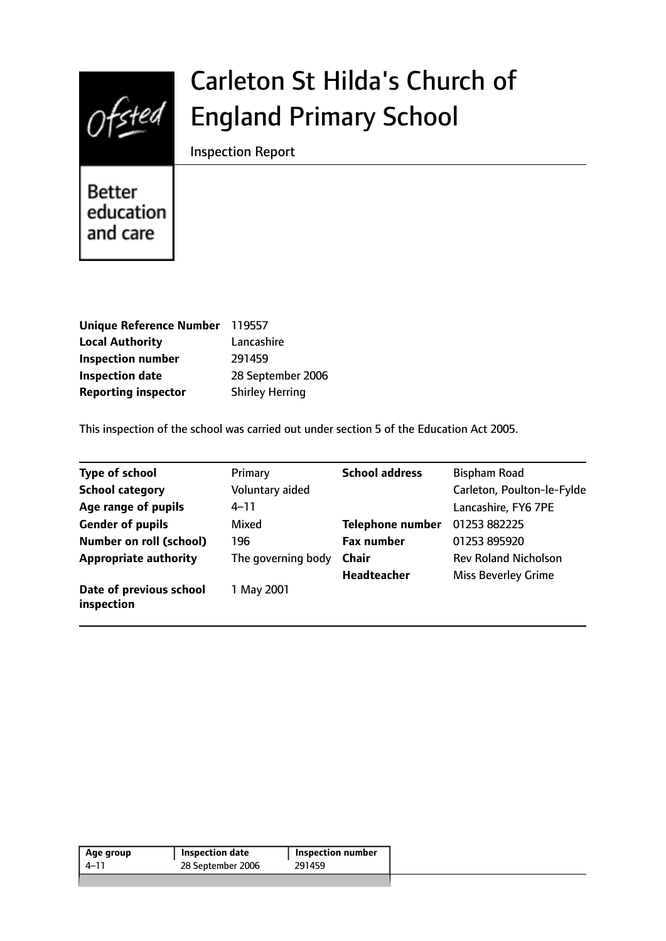

# Carleton St Hilda's Church of England Primary School

Inspection Report

**Better** education and care

| Unique Reference Number 119557 |                        |
|--------------------------------|------------------------|
| <b>Local Authority</b>         | Lancashire             |
| <b>Inspection number</b>       | 291459                 |
| <b>Inspection date</b>         | 28 September 2006      |
| <b>Reporting inspector</b>     | <b>Shirley Herring</b> |

This inspection of the school was carried out under section 5 of the Education Act 2005.

| <b>Type of school</b>                 | Primary            | <b>School address</b>   | <b>Bispham Road</b>         |
|---------------------------------------|--------------------|-------------------------|-----------------------------|
| <b>School category</b>                | Voluntary aided    |                         | Carleton, Poulton-le-Fylde  |
| Age range of pupils                   | $4 - 11$           |                         | Lancashire, FY6 7PE         |
| <b>Gender of pupils</b>               | Mixed              | <b>Telephone number</b> | 01253 882225                |
| <b>Number on roll (school)</b>        | 196                | <b>Fax number</b>       | 01253 895920                |
| <b>Appropriate authority</b>          | The governing body | <b>Chair</b>            | <b>Rev Roland Nicholson</b> |
|                                       |                    | <b>Headteacher</b>      | <b>Miss Beverley Grime</b>  |
| Date of previous school<br>inspection | 1 May 2001         |                         |                             |

| 291459<br>28 September 2006<br>4–11 | Age group | Inspection date | <b>Inspection number</b> |  |
|-------------------------------------|-----------|-----------------|--------------------------|--|
|                                     |           |                 |                          |  |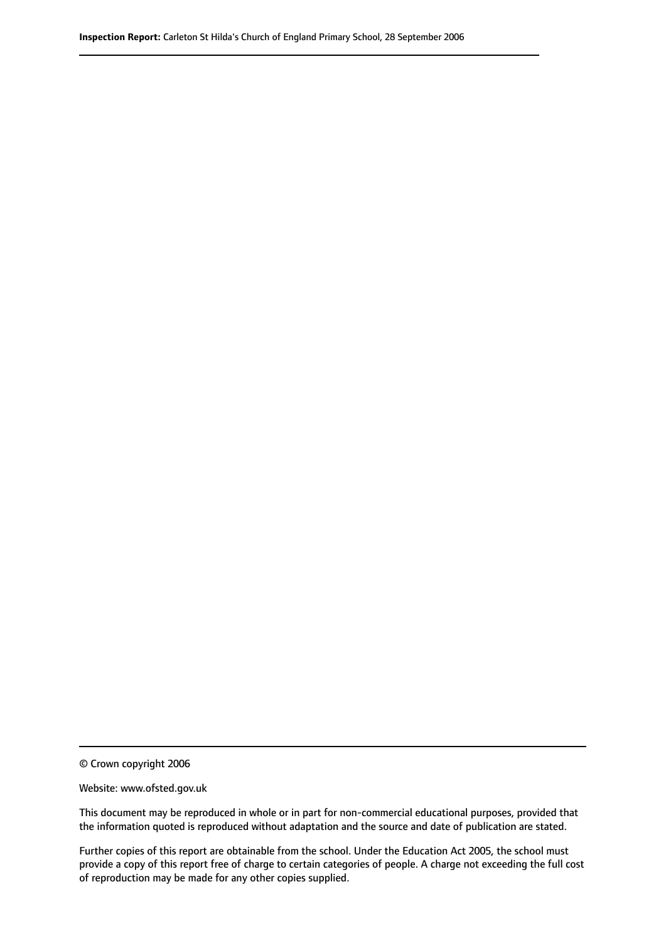© Crown copyright 2006

Website: www.ofsted.gov.uk

This document may be reproduced in whole or in part for non-commercial educational purposes, provided that the information quoted is reproduced without adaptation and the source and date of publication are stated.

Further copies of this report are obtainable from the school. Under the Education Act 2005, the school must provide a copy of this report free of charge to certain categories of people. A charge not exceeding the full cost of reproduction may be made for any other copies supplied.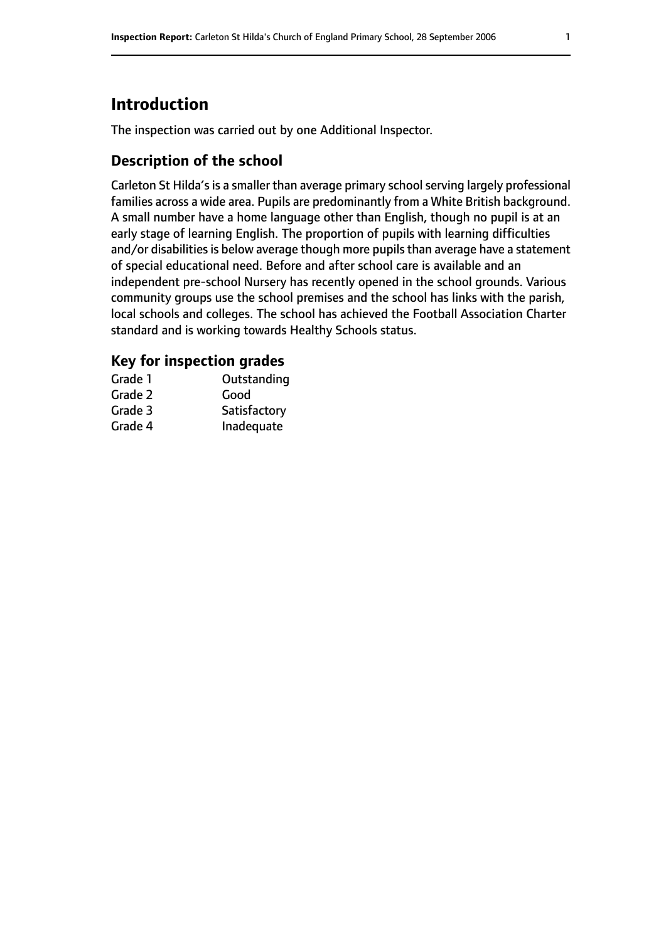# **Introduction**

The inspection was carried out by one Additional Inspector.

### **Description of the school**

Carleton St Hilda's is a smaller than average primary school serving largely professional families across a wide area. Pupils are predominantly from a White British background. A small number have a home language other than English, though no pupil is at an early stage of learning English. The proportion of pupils with learning difficulties and/or disabilities is below average though more pupils than average have a statement of special educational need. Before and after school care is available and an independent pre-school Nursery has recently opened in the school grounds. Various community groups use the school premises and the school has links with the parish, local schools and colleges. The school has achieved the Football Association Charter standard and is working towards Healthy Schools status.

#### **Key for inspection grades**

| Grade 1 | Outstanding  |
|---------|--------------|
| Grade 2 | Good         |
| Grade 3 | Satisfactory |
| Grade 4 | Inadequate   |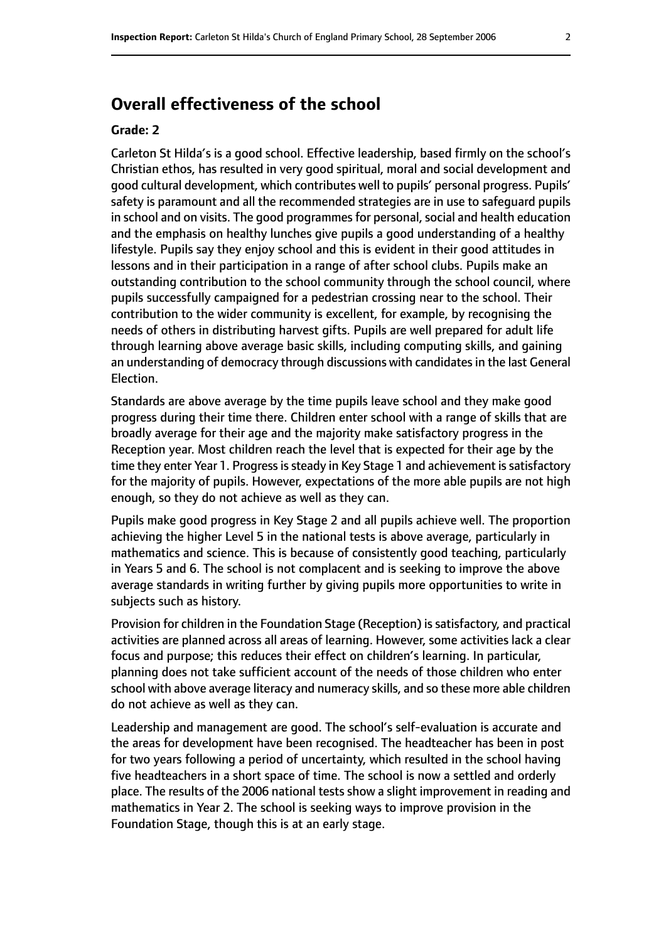# **Overall effectiveness of the school**

#### **Grade: 2**

Carleton St Hilda's is a good school. Effective leadership, based firmly on the school's Christian ethos, has resulted in very good spiritual, moral and social development and good cultural development, which contributes well to pupils' personal progress. Pupils' safety is paramount and all the recommended strategies are in use to safeguard pupils in school and on visits. The good programmes for personal, social and health education and the emphasis on healthy lunches give pupils a good understanding of a healthy lifestyle. Pupils say they enjoy school and this is evident in their good attitudes in lessons and in their participation in a range of after school clubs. Pupils make an outstanding contribution to the school community through the school council, where pupils successfully campaigned for a pedestrian crossing near to the school. Their contribution to the wider community is excellent, for example, by recognising the needs of others in distributing harvest gifts. Pupils are well prepared for adult life through learning above average basic skills, including computing skills, and gaining an understanding of democracy through discussions with candidates in the last General Election.

Standards are above average by the time pupils leave school and they make good progress during their time there. Children enter school with a range of skills that are broadly average for their age and the majority make satisfactory progress in the Reception year. Most children reach the level that is expected for their age by the time they enter Year 1. Progress is steady in Key Stage 1 and achievement is satisfactory for the majority of pupils. However, expectations of the more able pupils are not high enough, so they do not achieve as well as they can.

Pupils make good progress in Key Stage 2 and all pupils achieve well. The proportion achieving the higher Level 5 in the national tests is above average, particularly in mathematics and science. This is because of consistently good teaching, particularly in Years 5 and 6. The school is not complacent and is seeking to improve the above average standards in writing further by giving pupils more opportunities to write in subjects such as history.

Provision for children in the Foundation Stage (Reception) is satisfactory, and practical activities are planned across all areas of learning. However, some activities lack a clear focus and purpose; this reduces their effect on children's learning. In particular, planning does not take sufficient account of the needs of those children who enter school with above average literacy and numeracy skills, and so these more able children do not achieve as well as they can.

Leadership and management are good. The school's self-evaluation is accurate and the areas for development have been recognised. The headteacher has been in post for two years following a period of uncertainty, which resulted in the school having five headteachers in a short space of time. The school is now a settled and orderly place. The results of the 2006 national tests show a slight improvement in reading and mathematics in Year 2. The school is seeking ways to improve provision in the Foundation Stage, though this is at an early stage.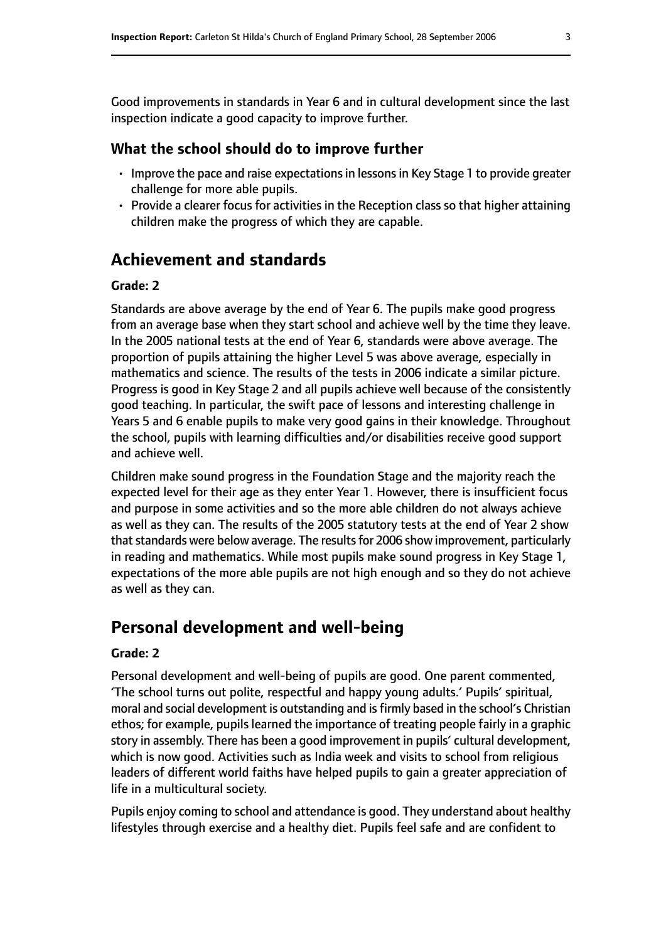Good improvements in standards in Year 6 and in cultural development since the last inspection indicate a good capacity to improve further.

#### **What the school should do to improve further**

- Improve the pace and raise expectations in lessons in Key Stage 1 to provide greater challenge for more able pupils.
- Provide a clearer focus for activities in the Reception class so that higher attaining children make the progress of which they are capable.

# **Achievement and standards**

#### **Grade: 2**

Standards are above average by the end of Year 6. The pupils make good progress from an average base when they start school and achieve well by the time they leave. In the 2005 national tests at the end of Year 6, standards were above average. The proportion of pupils attaining the higher Level 5 was above average, especially in mathematics and science. The results of the tests in 2006 indicate a similar picture. Progress is good in Key Stage 2 and all pupils achieve well because of the consistently good teaching. In particular, the swift pace of lessons and interesting challenge in Years 5 and 6 enable pupils to make very good gains in their knowledge. Throughout the school, pupils with learning difficulties and/or disabilities receive good support and achieve well.

Children make sound progress in the Foundation Stage and the majority reach the expected level for their age as they enter Year 1. However, there is insufficient focus and purpose in some activities and so the more able children do not always achieve as well as they can. The results of the 2005 statutory tests at the end of Year 2 show that standards were below average. The results for 2006 show improvement, particularly in reading and mathematics. While most pupils make sound progress in Key Stage 1, expectations of the more able pupils are not high enough and so they do not achieve as well as they can.

## **Personal development and well-being**

#### **Grade: 2**

Personal development and well-being of pupils are good. One parent commented, 'The school turns out polite, respectful and happy young adults.' Pupils' spiritual, moral and social development is outstanding and isfirmly based in the school's Christian ethos; for example, pupils learned the importance of treating people fairly in a graphic story in assembly. There has been a good improvement in pupils' cultural development, which is now good. Activities such as India week and visits to school from religious leaders of different world faiths have helped pupils to gain a greater appreciation of life in a multicultural society.

Pupils enjoy coming to school and attendance is good. They understand about healthy lifestyles through exercise and a healthy diet. Pupils feel safe and are confident to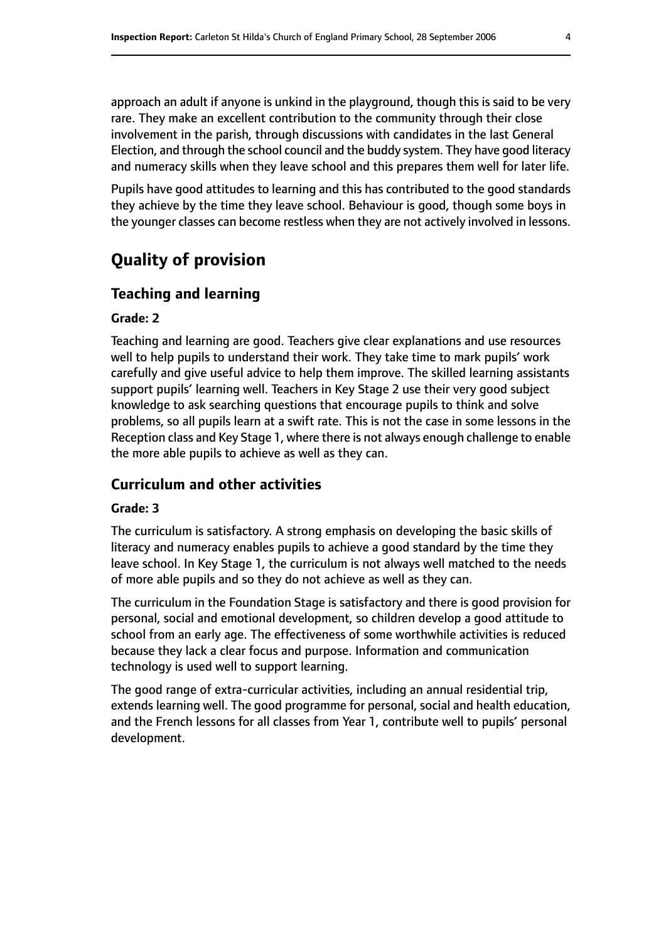approach an adult if anyone is unkind in the playground, though this is said to be very rare. They make an excellent contribution to the community through their close involvement in the parish, through discussions with candidates in the last General Election, and through the school council and the buddy system. They have good literacy and numeracy skills when they leave school and this prepares them well for later life.

Pupils have good attitudes to learning and this has contributed to the good standards they achieve by the time they leave school. Behaviour is good, though some boys in the younger classes can become restless when they are not actively involved in lessons.

# **Quality of provision**

#### **Teaching and learning**

#### **Grade: 2**

Teaching and learning are good. Teachers give clear explanations and use resources well to help pupils to understand their work. They take time to mark pupils' work carefully and give useful advice to help them improve. The skilled learning assistants support pupils' learning well. Teachers in Key Stage 2 use their very good subject knowledge to ask searching questions that encourage pupils to think and solve problems, so all pupils learn at a swift rate. This is not the case in some lessons in the Reception class and Key Stage 1, where there is not always enough challenge to enable the more able pupils to achieve as well as they can.

#### **Curriculum and other activities**

#### **Grade: 3**

The curriculum is satisfactory. A strong emphasis on developing the basic skills of literacy and numeracy enables pupils to achieve a good standard by the time they leave school. In Key Stage 1, the curriculum is not always well matched to the needs of more able pupils and so they do not achieve as well as they can.

The curriculum in the Foundation Stage is satisfactory and there is good provision for personal, social and emotional development, so children develop a good attitude to school from an early age. The effectiveness of some worthwhile activities is reduced because they lack a clear focus and purpose. Information and communication technology is used well to support learning.

The good range of extra-curricular activities, including an annual residential trip, extends learning well. The good programme for personal, social and health education, and the French lessons for all classes from Year 1, contribute well to pupils' personal development.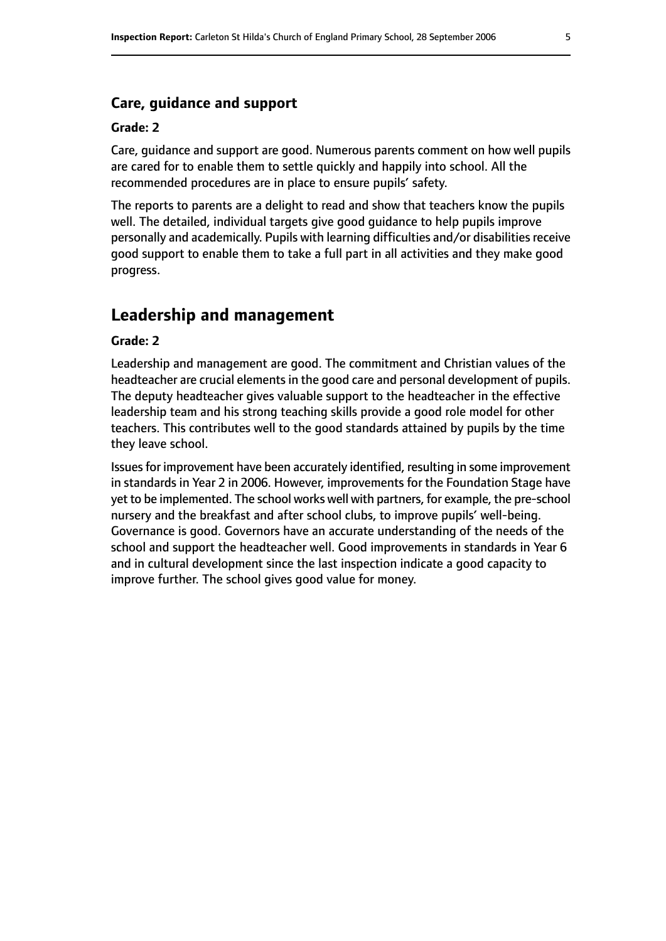#### **Care, guidance and support**

#### **Grade: 2**

Care, guidance and support are good. Numerous parents comment on how well pupils are cared for to enable them to settle quickly and happily into school. All the recommended procedures are in place to ensure pupils' safety.

The reports to parents are a delight to read and show that teachers know the pupils well. The detailed, individual targets give good guidance to help pupils improve personally and academically. Pupils with learning difficulties and/or disabilities receive good support to enable them to take a full part in all activities and they make good progress.

# **Leadership and management**

#### **Grade: 2**

Leadership and management are good. The commitment and Christian values of the headteacher are crucial elements in the good care and personal development of pupils. The deputy headteacher gives valuable support to the headteacher in the effective leadership team and his strong teaching skills provide a good role model for other teachers. This contributes well to the good standards attained by pupils by the time they leave school.

Issuesfor improvement have been accurately identified, resulting in some improvement in standards in Year 2 in 2006. However, improvements for the Foundation Stage have yet to be implemented. The school works well with partners, for example, the pre-school nursery and the breakfast and after school clubs, to improve pupils' well-being. Governance is good. Governors have an accurate understanding of the needs of the school and support the headteacher well. Good improvements in standards in Year 6 and in cultural development since the last inspection indicate a good capacity to improve further. The school gives good value for money.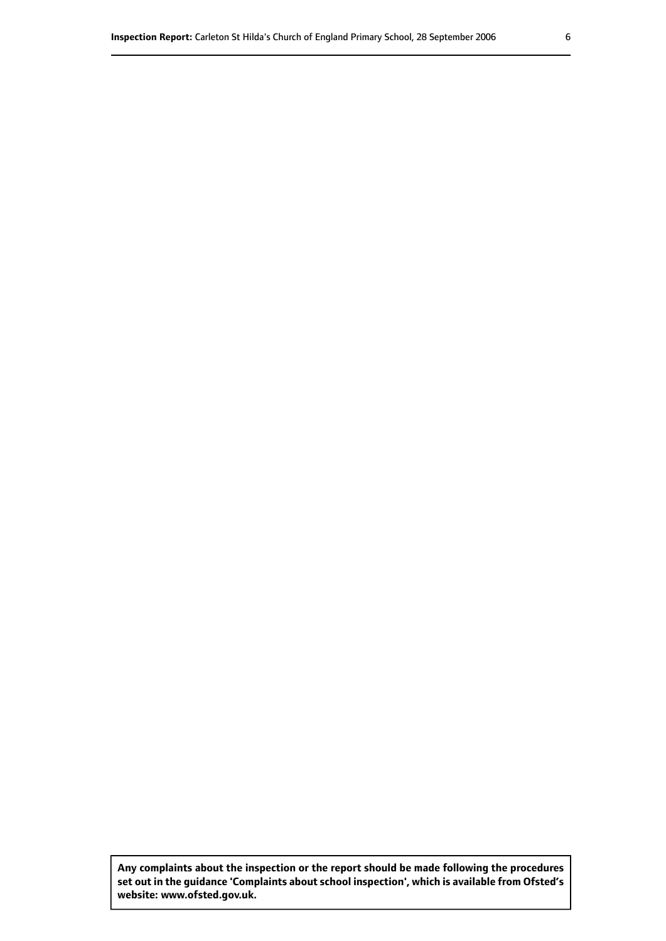**Any complaints about the inspection or the report should be made following the procedures set out inthe guidance 'Complaints about school inspection', whichis available from Ofsted's website: www.ofsted.gov.uk.**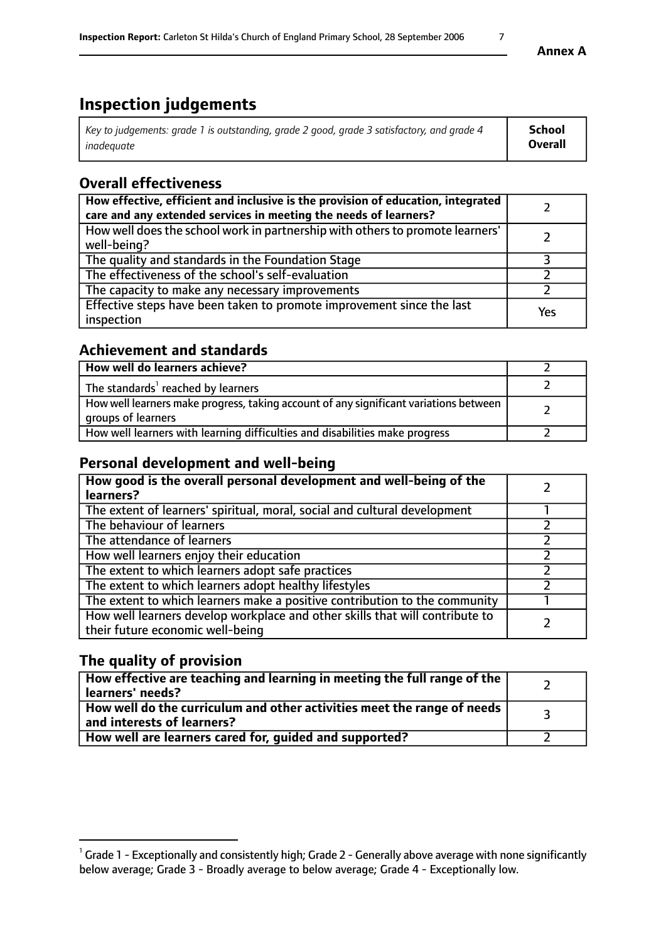# **Inspection judgements**

| Key to judgements: grade 1 is outstanding, grade 2 good, grade 3 satisfactory, and grade 4 | School  |
|--------------------------------------------------------------------------------------------|---------|
| inadeauate                                                                                 | Overall |

## **Overall effectiveness**

| How effective, efficient and inclusive is the provision of education, integrated<br>care and any extended services in meeting the needs of learners? |     |
|------------------------------------------------------------------------------------------------------------------------------------------------------|-----|
| How well does the school work in partnership with others to promote learners'<br>well-being?                                                         |     |
| The quality and standards in the Foundation Stage                                                                                                    |     |
| The effectiveness of the school's self-evaluation                                                                                                    |     |
| The capacity to make any necessary improvements                                                                                                      |     |
| Effective steps have been taken to promote improvement since the last<br>inspection                                                                  | Yes |

## **Achievement and standards**

| How well do learners achieve?                                                                               |  |
|-------------------------------------------------------------------------------------------------------------|--|
| The standards <sup>1</sup> reached by learners                                                              |  |
| How well learners make progress, taking account of any significant variations between<br>groups of learners |  |
| How well learners with learning difficulties and disabilities make progress                                 |  |

## **Personal development and well-being**

| How good is the overall personal development and well-being of the<br>learners?                                  |  |
|------------------------------------------------------------------------------------------------------------------|--|
| The extent of learners' spiritual, moral, social and cultural development                                        |  |
| The behaviour of learners                                                                                        |  |
| The attendance of learners                                                                                       |  |
| How well learners enjoy their education                                                                          |  |
| The extent to which learners adopt safe practices                                                                |  |
| The extent to which learners adopt healthy lifestyles                                                            |  |
| The extent to which learners make a positive contribution to the community                                       |  |
| How well learners develop workplace and other skills that will contribute to<br>their future economic well-being |  |

## **The quality of provision**

| How effective are teaching and learning in meeting the full range of the<br>learners' needs?          |  |
|-------------------------------------------------------------------------------------------------------|--|
| How well do the curriculum and other activities meet the range of needs<br>and interests of learners? |  |
| How well are learners cared for, guided and supported?                                                |  |

 $^1$  Grade 1 - Exceptionally and consistently high; Grade 2 - Generally above average with none significantly below average; Grade 3 - Broadly average to below average; Grade 4 - Exceptionally low.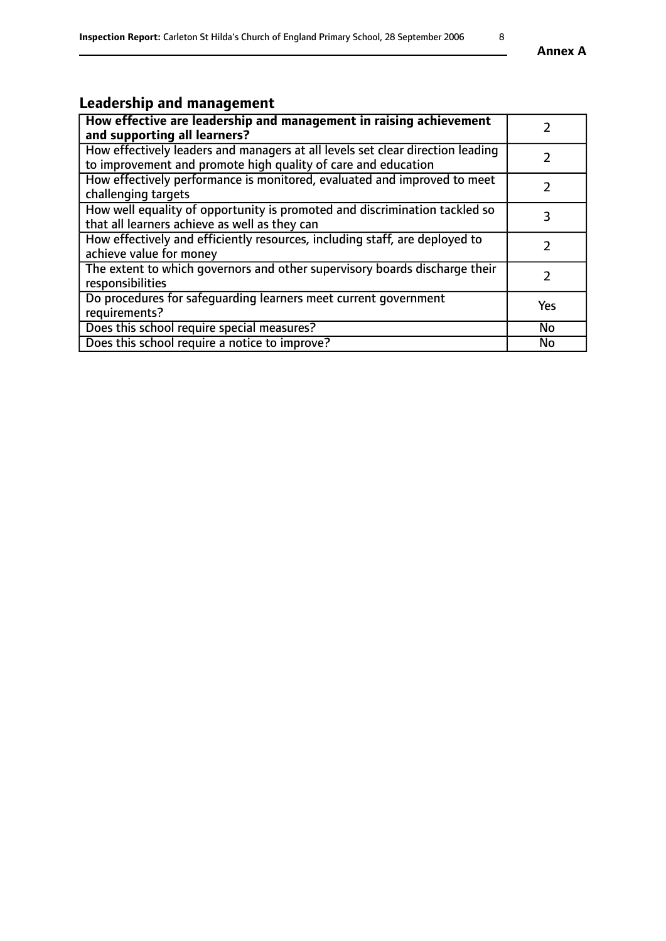# **Leadership and management**

| How effective are leadership and management in raising achievement<br>and supporting all learners?                                              |            |
|-------------------------------------------------------------------------------------------------------------------------------------------------|------------|
| How effectively leaders and managers at all levels set clear direction leading<br>to improvement and promote high quality of care and education |            |
| How effectively performance is monitored, evaluated and improved to meet<br>challenging targets                                                 |            |
| How well equality of opportunity is promoted and discrimination tackled so<br>that all learners achieve as well as they can                     | 3          |
| How effectively and efficiently resources, including staff, are deployed to<br>achieve value for money                                          | 7          |
| The extent to which governors and other supervisory boards discharge their<br>responsibilities                                                  |            |
| Do procedures for safeguarding learners meet current government<br>requirements?                                                                | <b>Yes</b> |
| Does this school require special measures?                                                                                                      | <b>No</b>  |
| Does this school require a notice to improve?                                                                                                   | No         |